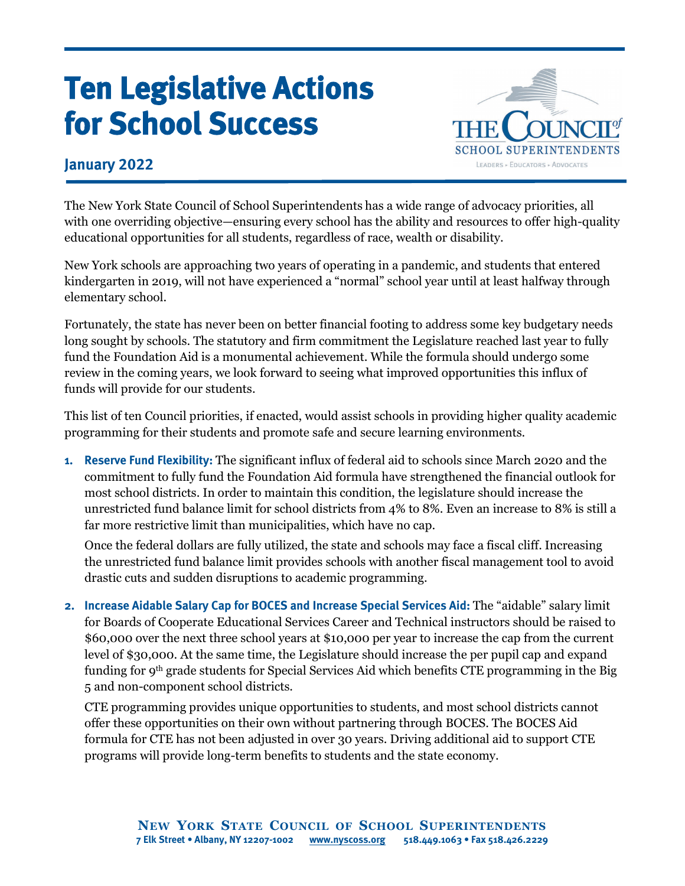## **Ten Legislative Actions for School Success**



## **January 2022**

The New York State Council of School Superintendents has a wide range of advocacy priorities, all with one overriding objective—ensuring every school has the ability and resources to offer high-quality educational opportunities for all students, regardless of race, wealth or disability.

New York schools are approaching two years of operating in a pandemic, and students that entered kindergarten in 2019, will not have experienced a "normal" school year until at least halfway through elementary school.

Fortunately, the state has never been on better financial footing to address some key budgetary needs long sought by schools. The statutory and firm commitment the Legislature reached last year to fully fund the Foundation Aid is a monumental achievement. While the formula should undergo some review in the coming years, we look forward to seeing what improved opportunities this influx of funds will provide for our students.

This list of ten Council priorities, if enacted, would assist schools in providing higher quality academic programming for their students and promote safe and secure learning environments.

**1. Reserve Fund Flexibility:** The significant influx of federal aid to schools since March 2020 and the commitment to fully fund the Foundation Aid formula have strengthened the financial outlook for most school districts. In order to maintain this condition, the legislature should increase the unrestricted fund balance limit for school districts from 4% to 8%. Even an increase to 8% is still a far more restrictive limit than municipalities, which have no cap.

Once the federal dollars are fully utilized, the state and schools may face a fiscal cliff. Increasing the unrestricted fund balance limit provides schools with another fiscal management tool to avoid drastic cuts and sudden disruptions to academic programming.

**2. Increase Aidable Salary Cap for BOCES and Increase Special Services Aid:** The "aidable" salary limit for Boards of Cooperate Educational Services Career and Technical instructors should be raised to \$60,000 over the next three school years at \$10,000 per year to increase the cap from the current level of \$30,000. At the same time, the Legislature should increase the per pupil cap and expand funding for 9th grade students for Special Services Aid which benefits CTE programming in the Big 5 and non-component school districts.

CTE programming provides unique opportunities to students, and most school districts cannot offer these opportunities on their own without partnering through BOCES. The BOCES Aid formula for CTE has not been adjusted in over 30 years. Driving additional aid to support CTE programs will provide long-term benefits to students and the state economy.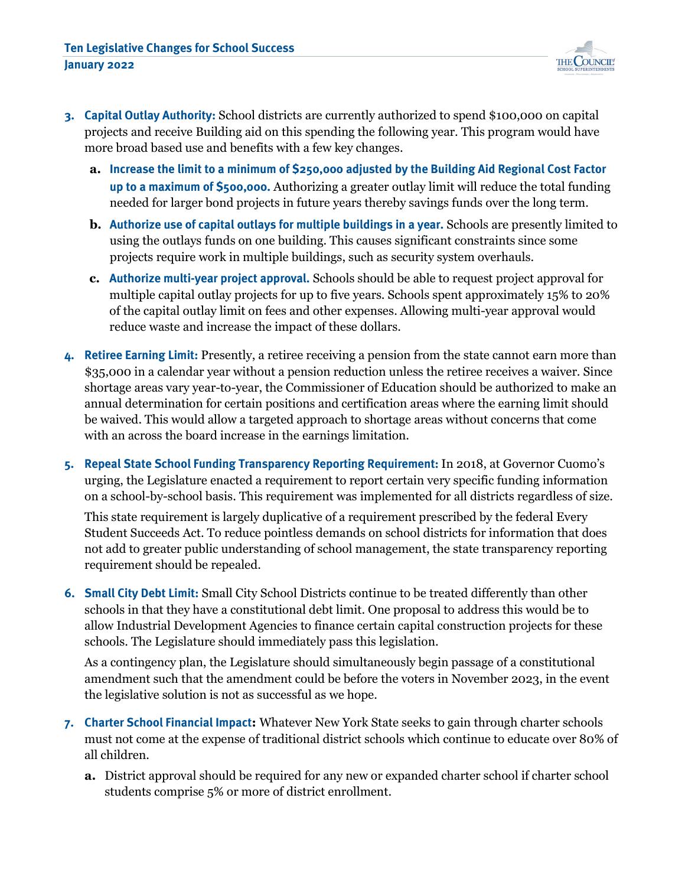

- **3. Capital Outlay Authority:** School districts are currently authorized to spend \$100,000 on capital projects and receive Building aid on this spending the following year. This program would have more broad based use and benefits with a few key changes.
	- **a. Increase the limit to a minimum of \$250,000 adjusted by the Building Aid Regional Cost Factor up to a maximum of \$500,000.** Authorizing a greater outlay limit will reduce the total funding needed for larger bond projects in future years thereby savings funds over the long term.
	- **b. Authorize use of capital outlays for multiple buildings in a year.** Schools are presently limited to using the outlays funds on one building. This causes significant constraints since some projects require work in multiple buildings, such as security system overhauls.
	- **c. Authorize multi-year project approval.** Schools should be able to request project approval for multiple capital outlay projects for up to five years. Schools spent approximately 15% to 20% of the capital outlay limit on fees and other expenses. Allowing multi-year approval would reduce waste and increase the impact of these dollars.
- **4. Retiree Earning Limit:** Presently, a retiree receiving a pension from the state cannot earn more than \$35,000 in a calendar year without a pension reduction unless the retiree receives a waiver. Since shortage areas vary year-to-year, the Commissioner of Education should be authorized to make an annual determination for certain positions and certification areas where the earning limit should be waived. This would allow a targeted approach to shortage areas without concerns that come with an across the board increase in the earnings limitation.
- **5. Repeal State School Funding Transparency Reporting Requirement:** In 2018, at Governor Cuomo's urging, the Legislature enacted a requirement to report certain very specific funding information on a school-by-school basis. This requirement was implemented for all districts regardless of size.

This state requirement is largely duplicative of a requirement prescribed by the federal Every Student Succeeds Act. To reduce pointless demands on school districts for information that does not add to greater public understanding of school management, the state transparency reporting requirement should be repealed.

**6. Small City Debt Limit:** Small City School Districts continue to be treated differently than other schools in that they have a constitutional debt limit. One proposal to address this would be to allow Industrial Development Agencies to finance certain capital construction projects for these schools. The Legislature should immediately pass this legislation.

As a contingency plan, the Legislature should simultaneously begin passage of a constitutional amendment such that the amendment could be before the voters in November 2023, in the event the legislative solution is not as successful as we hope.

- **7. Charter School Financial Impact:** Whatever New York State seeks to gain through charter schools must not come at the expense of traditional district schools which continue to educate over 80% of all children.
	- **a.** District approval should be required for any new or expanded charter school if charter school students comprise 5% or more of district enrollment.